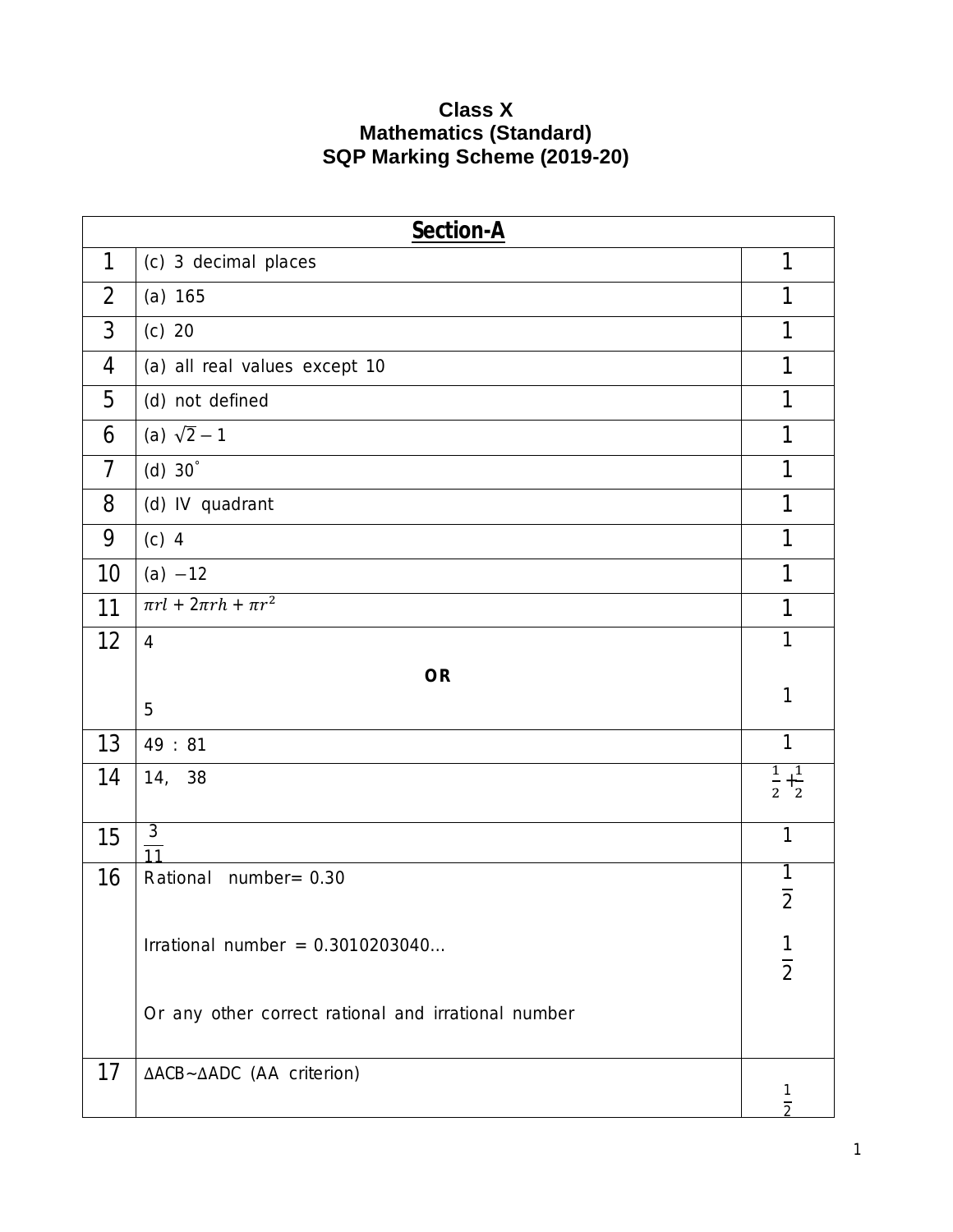## **Class X Mathematics (Standard) SQP Marking Scheme (2019-20)**

| <b>Section-A</b> |                                                     |                             |  |  |
|------------------|-----------------------------------------------------|-----------------------------|--|--|
| 1                | (c) 3 decimal places                                | 1                           |  |  |
| 2                | (a) 165                                             | 1                           |  |  |
| 3                | $(c)$ 20                                            | 1                           |  |  |
| 4                | (a) all real values except 10                       | 1                           |  |  |
| 5                | (d) not defined                                     | 1                           |  |  |
| 6                | (a) $\sqrt{2}-1$                                    | 1                           |  |  |
| $\overline{7}$   | (d) $30^\circ$                                      | 1                           |  |  |
| 8                | (d) IV quadrant                                     | 1                           |  |  |
| 9                | $(c)$ 4                                             | 1                           |  |  |
| 10               | $(a) -12$                                           | 1                           |  |  |
| 11               | $\pi r l + 2\pi rh + \pi r^2$                       | 1                           |  |  |
| 12               | $\overline{4}$                                      | 1                           |  |  |
| <b>OR</b><br>1   |                                                     |                             |  |  |
|                  | 5                                                   |                             |  |  |
| 13               | 49:81                                               | 1                           |  |  |
| 14               | 14, 38                                              | $\frac{1}{2} + \frac{1}{2}$ |  |  |
| 15               | $\frac{3}{11}$                                      | 1                           |  |  |
| 16               | Rational number= 0.30                               | $\overline{2}$              |  |  |
|                  | Irrational number = $0.3010203040$                  | $rac{1}{2}$                 |  |  |
|                  | Or any other correct rational and irrational number |                             |  |  |
| 17               | ΔACB~ΔADC (AA criterion)                            | 1<br>$\overline{2}$         |  |  |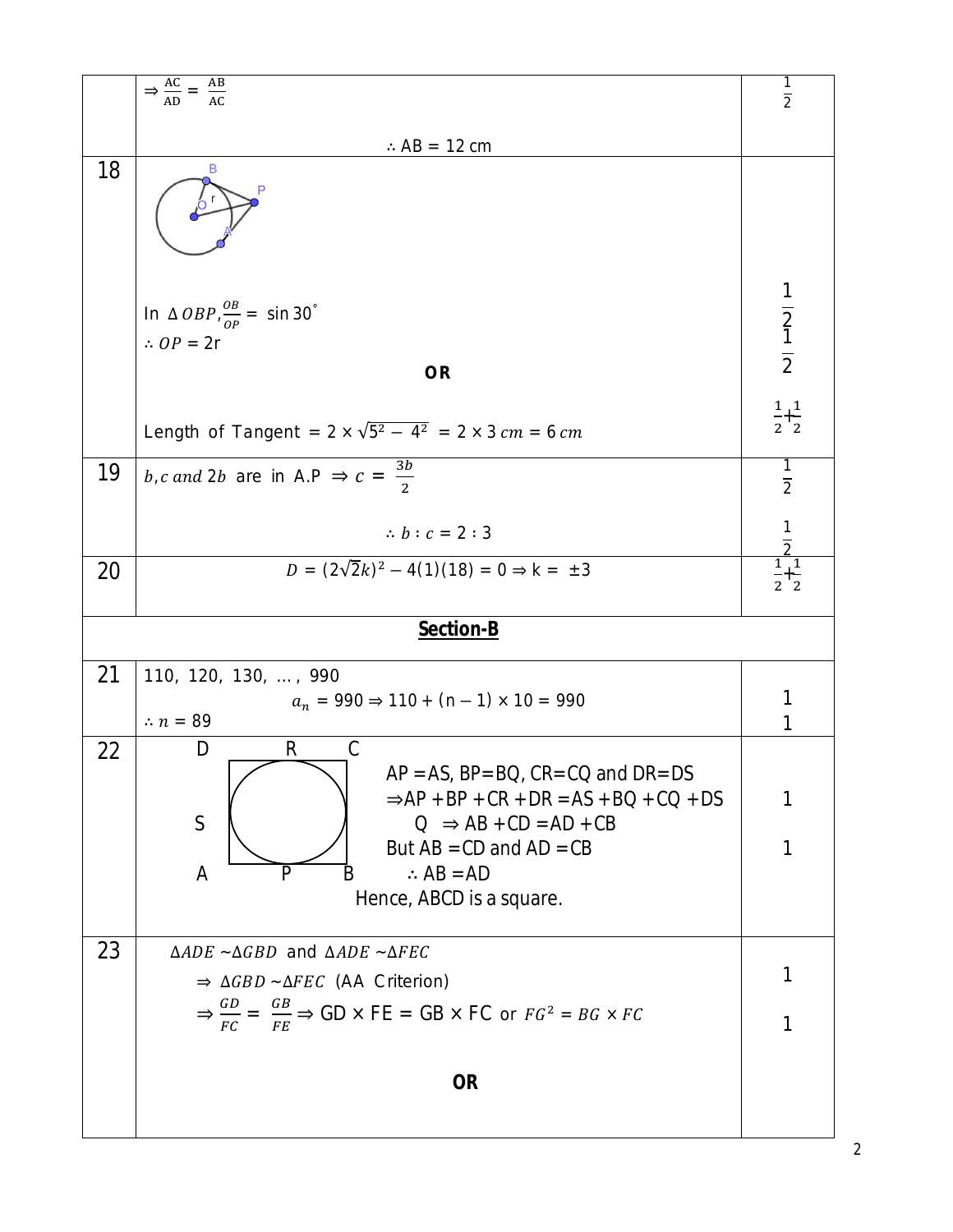|    | $\Rightarrow \frac{AC}{AD} = \frac{AB}{AC}$                                                                                                                               | $\overline{2}$                                |  |  |
|----|---------------------------------------------------------------------------------------------------------------------------------------------------------------------------|-----------------------------------------------|--|--|
|    | $\therefore$ AB = 12 cm                                                                                                                                                   |                                               |  |  |
| 18 | B<br>P                                                                                                                                                                    |                                               |  |  |
|    | In $\triangle$ <i>OBP</i> , $\frac{\partial B}{\partial P}$ = sin 30 <sup>°</sup><br>$\therefore$ OP = 2r                                                                 | $\frac{1}{2}$ $\frac{1}{2}$                   |  |  |
|    | <b>OR</b>                                                                                                                                                                 |                                               |  |  |
|    | Length of Tangent = $2 \times \sqrt{5^2 - 4^2} = 2 \times 3$ cm = 6 cm                                                                                                    | $\frac{1}{2} + \frac{1}{2}$                   |  |  |
| 19 | <i>b</i> , <i>c</i> and 2 <i>b</i> are in A.P $\Rightarrow$ $c = \frac{3b}{2}$                                                                                            | $\frac{1}{2}$                                 |  |  |
|    | $\therefore b:c=2:3$                                                                                                                                                      |                                               |  |  |
| 20 | $D = (2\sqrt{2}k)^2 - 4(1)(18) = 0 \Rightarrow k = \pm 3$                                                                                                                 | $\frac{\frac{1}{2}}{\frac{1}{2}+\frac{1}{2}}$ |  |  |
|    | Section-B                                                                                                                                                                 |                                               |  |  |
| 21 | 110, 120, 130, , 990                                                                                                                                                      |                                               |  |  |
|    | $a_n = 990 \Rightarrow 110 + (n - 1) \times 10 = 990$<br>$\therefore$ n = 89                                                                                              |                                               |  |  |
| 22 | D<br>R<br>С<br>$AP = AS$ , $BP = BO$ , $CR = CO$ and $DR = DS$<br>$\Rightarrow$ AP + BP + CR + DR = AS + BQ + CQ + DS<br>$\mathsf S$<br>$Q \Rightarrow AB + CD = AD + CB$ |                                               |  |  |
|    | But $AB = CD$ and $AD = CB$<br>$\therefore$ AB = AD<br>A<br>P<br>В<br>Hence, ABCD is a square.                                                                            | 1                                             |  |  |
| 23 | $\triangle ADE$ ~ $\triangle GBD$ and $\triangle ADE$ ~ $\triangle FEC$                                                                                                   |                                               |  |  |
|    | $\Rightarrow \triangle GBD \sim \triangle FEC$ (AA Criterion)                                                                                                             |                                               |  |  |
|    | $\Rightarrow \frac{GD}{FC} = \frac{GB}{FE} \Rightarrow GD \times FE = GB \times FC$ or $FG^2 = BG \times FC$                                                              |                                               |  |  |
|    | <b>OR</b>                                                                                                                                                                 |                                               |  |  |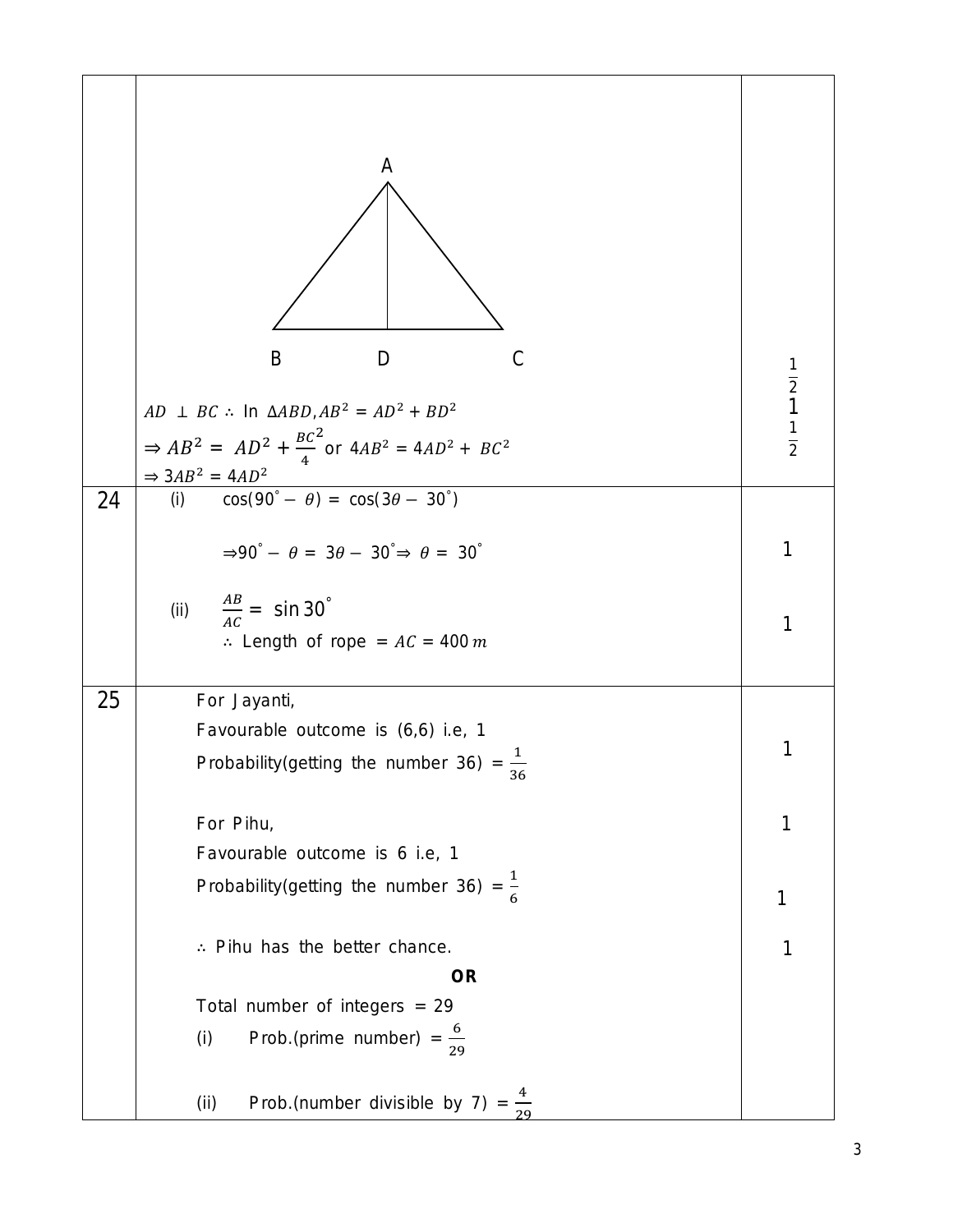|    | A<br>$\mathcal{C}$<br>B<br>D<br>$AD \perp BC$ : In $\triangle ABD$ , $AB^2 = AD^2 + BD^2$<br>$\Rightarrow AB^2 = AD^2 + \frac{BC^2}{4}$ or $4AB^2 = 4AD^2 + BC^2$<br>$\Rightarrow 3AB^2 = 4AD^2$ | $\frac{1}{2}$ $\frac{1}{2}$ |
|----|--------------------------------------------------------------------------------------------------------------------------------------------------------------------------------------------------|-----------------------------|
| 24 | $\cos(90^\circ - \theta) = \cos(3\theta - 30^\circ)$<br>(i)                                                                                                                                      |                             |
|    | $\Rightarrow 90^\circ - \theta = 3\theta - 30^\circ \Rightarrow \theta = 30^\circ$                                                                                                               | 1                           |
|    | (ii) $\frac{AB}{AC} = \sin 30^\circ$<br>: Length of rope = $AC = 400 m$                                                                                                                          | 1                           |
| 25 | For Jayanti,                                                                                                                                                                                     |                             |
|    | Favourable outcome is (6,6) i.e, 1                                                                                                                                                               | 1                           |
|    | Probability (getting the number 36) = $\frac{1}{36}$                                                                                                                                             |                             |
|    | For Pihu,                                                                                                                                                                                        | 1                           |
|    | Favourable outcome is 6 i.e, 1                                                                                                                                                                   |                             |
|    | Probability (getting the number 36) = $\frac{1}{6}$                                                                                                                                              | 1                           |
|    | : Pihu has the better chance.                                                                                                                                                                    | 1                           |
|    | <b>OR</b>                                                                                                                                                                                        |                             |
|    | Total number of integers = 29                                                                                                                                                                    |                             |
|    | Prob.(prime number) = $\frac{6}{29}$<br>(i)                                                                                                                                                      |                             |
|    | Prob.(number divisible by 7) = $\frac{4}{29}$<br>(ii)                                                                                                                                            |                             |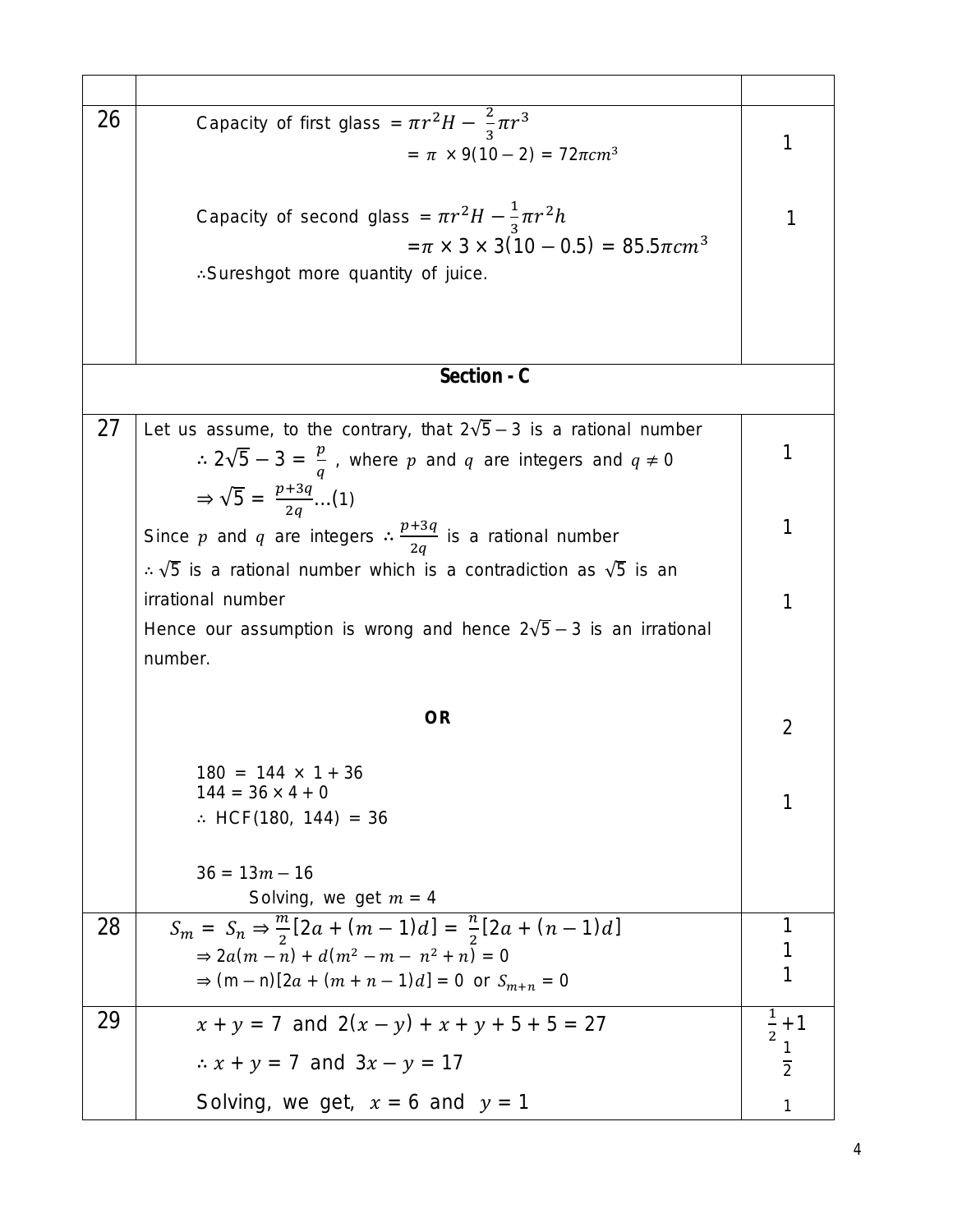| 26          | Capacity of first glass = $\pi r^2 H - \frac{2}{3} \pi r^3$                               |                 |  |  |  |  |
|-------------|-------------------------------------------------------------------------------------------|-----------------|--|--|--|--|
|             | $=\pi \times 9(10-2) = 72\pi cm^3$                                                        | 1               |  |  |  |  |
|             |                                                                                           |                 |  |  |  |  |
|             |                                                                                           |                 |  |  |  |  |
|             | Capacity of second glass = $\pi r^2 H - \frac{1}{3} \pi r^2 h$                            |                 |  |  |  |  |
|             | $=\pi \times 3 \times 3(10-0.5) = 85.5\pi cm^{3}$                                         |                 |  |  |  |  |
|             | : Sureshgot more quantity of juice.                                                       |                 |  |  |  |  |
|             |                                                                                           |                 |  |  |  |  |
|             |                                                                                           |                 |  |  |  |  |
|             |                                                                                           |                 |  |  |  |  |
| Section - C |                                                                                           |                 |  |  |  |  |
|             |                                                                                           |                 |  |  |  |  |
| 27          | Let us assume, to the contrary, that $2\sqrt{5} - 3$ is a rational number                 | 1               |  |  |  |  |
|             | $\therefore$ 2 $\sqrt{5} - 3 = \frac{p}{q}$ , where p and q are integers and $q \neq 0$   |                 |  |  |  |  |
|             | $\Rightarrow \sqrt{5} = \frac{p+3q}{2q} \dots (1)$                                        |                 |  |  |  |  |
|             | Since p and q are integers $\therefore \frac{p+3q}{2q}$ is a rational number              |                 |  |  |  |  |
|             |                                                                                           |                 |  |  |  |  |
|             | $\therefore$ $\sqrt{5}$ is a rational number which is a contradiction as $\sqrt{5}$ is an |                 |  |  |  |  |
|             | irrational number                                                                         |                 |  |  |  |  |
|             | Hence our assumption is wrong and hence $2\sqrt{5} - 3$ is an irrational                  |                 |  |  |  |  |
|             | number.                                                                                   |                 |  |  |  |  |
|             |                                                                                           |                 |  |  |  |  |
|             | <b>OR</b>                                                                                 |                 |  |  |  |  |
|             |                                                                                           | $\overline{2}$  |  |  |  |  |
|             | $180 = 144 \times 1 + 36$                                                                 |                 |  |  |  |  |
|             | $144 = 36 \times 4 + 0$                                                                   |                 |  |  |  |  |
|             | $\therefore$ HCF(180, 144) = 36                                                           |                 |  |  |  |  |
|             |                                                                                           |                 |  |  |  |  |
|             | $36 = 13m - 16$                                                                           |                 |  |  |  |  |
|             | Solving, we get $m = 4$                                                                   |                 |  |  |  |  |
| 28          | $S_m = S_n \Rightarrow \frac{m}{2}[2a + (m-1)d] = \frac{n}{2}[2a + (n-1)d]$               |                 |  |  |  |  |
|             | $\Rightarrow 2a(m-n) + d(m^2 - m - n^2 + n) = 0$                                          |                 |  |  |  |  |
|             | $\Rightarrow$ (m - n)[2a + (m + n - 1)d] = 0 or $S_{m+n} = 0$                             |                 |  |  |  |  |
| 29          | $x + y = 7$ and $2(x - y) + x + y + 5 + 5 = 27$                                           | $\frac{1}{2}+1$ |  |  |  |  |
|             |                                                                                           |                 |  |  |  |  |
|             | $\therefore$ $x + y = 7$ and $3x - y = 17$                                                | $\overline{2}$  |  |  |  |  |
|             | Solving, we get, $x = 6$ and $y = 1$                                                      | 1               |  |  |  |  |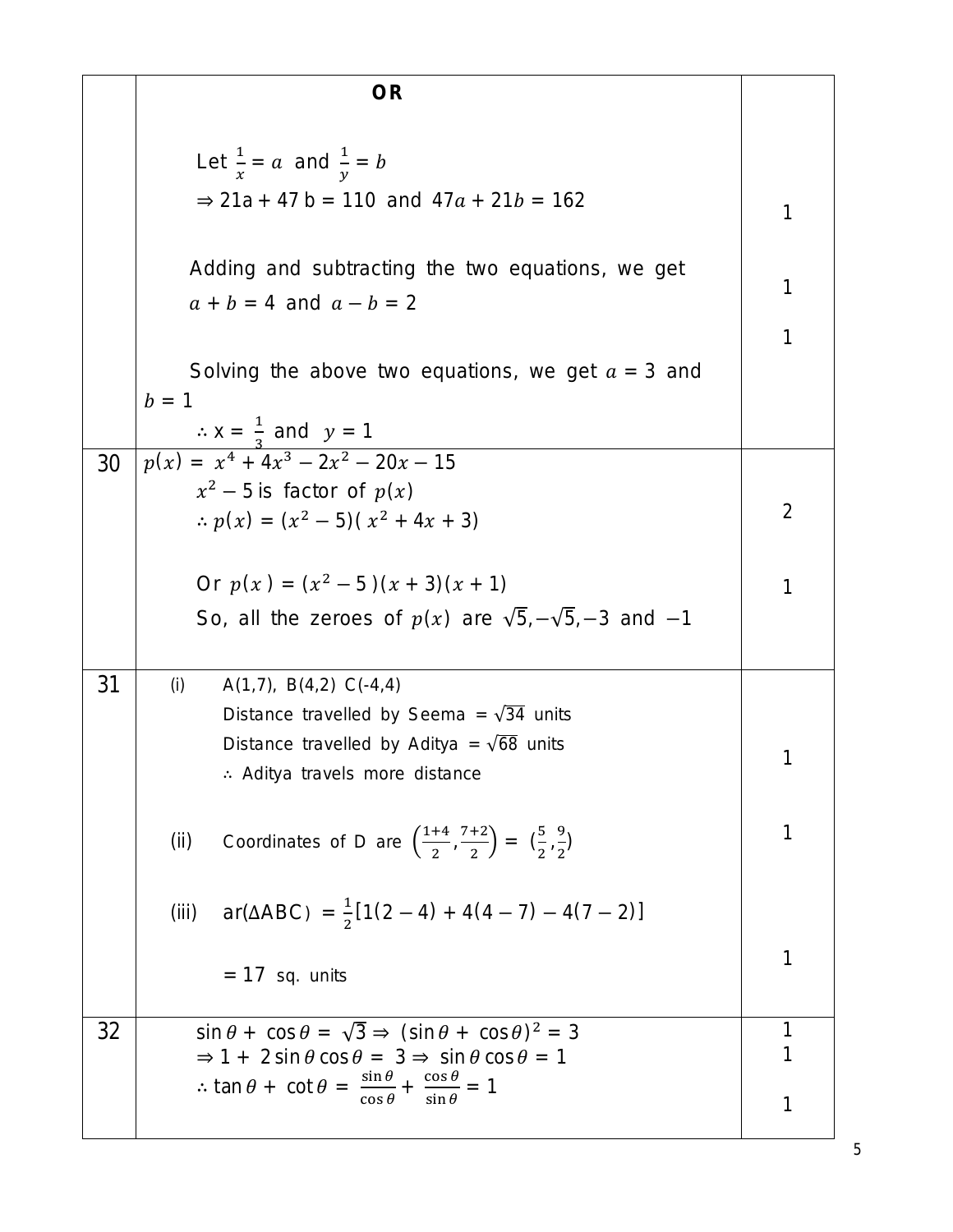|    | <b>OR</b>                                                                                                                                                                             |                   |  |  |  |
|----|---------------------------------------------------------------------------------------------------------------------------------------------------------------------------------------|-------------------|--|--|--|
|    |                                                                                                                                                                                       |                   |  |  |  |
|    | Let $\frac{1}{r} = a$ and $\frac{1}{v} = b$                                                                                                                                           |                   |  |  |  |
|    | $\Rightarrow$ 21a + 47 b = 110 and 47a + 21b = 162                                                                                                                                    | 1                 |  |  |  |
|    |                                                                                                                                                                                       |                   |  |  |  |
|    | Adding and subtracting the two equations, we get                                                                                                                                      |                   |  |  |  |
|    | $a + b = 4$ and $a - b = 2$                                                                                                                                                           | 1                 |  |  |  |
|    |                                                                                                                                                                                       | 1                 |  |  |  |
|    | Solving the above two equations, we get $a = 3$ and                                                                                                                                   |                   |  |  |  |
|    | $b = 1$<br>$\therefore$ x = $\frac{1}{2}$ and y = 1                                                                                                                                   |                   |  |  |  |
| 30 | $p(x) = x^4 + 4x^3 - 2x^2 - 20x - 15$                                                                                                                                                 |                   |  |  |  |
|    | $x^2$ – 5 is factor of $p(x)$                                                                                                                                                         |                   |  |  |  |
|    | $\therefore$ $p(x) = (x^2 - 5)(x^2 + 4x + 3)$                                                                                                                                         |                   |  |  |  |
|    |                                                                                                                                                                                       |                   |  |  |  |
|    | Or $p(x) = (x^2 - 5)(x + 3)(x + 1)$                                                                                                                                                   |                   |  |  |  |
|    | So, all the zeroes of $p(x)$ are $\sqrt{5}, -\sqrt{5}, -3$ and $-1$                                                                                                                   |                   |  |  |  |
| 31 | (i)<br>$A(1,7), B(4,2) C(-4,4)$                                                                                                                                                       |                   |  |  |  |
|    | Distance travelled by Seema = $\sqrt{34}$ units                                                                                                                                       |                   |  |  |  |
|    | Distance travelled by Aditya = $\sqrt{68}$ units                                                                                                                                      | 1                 |  |  |  |
|    | Aditya travels more distance                                                                                                                                                          |                   |  |  |  |
|    |                                                                                                                                                                                       | 1                 |  |  |  |
|    | Coordinates of D are $\left(\frac{1+4}{2}, \frac{7+2}{2}\right) = \left(\frac{5}{2}, \frac{9}{2}\right)$<br>(ii)                                                                      |                   |  |  |  |
|    |                                                                                                                                                                                       |                   |  |  |  |
|    | (iii) $ar(\Delta ABC) = \frac{1}{2}[1(2-4) + 4(4-7) - 4(7-2)]$                                                                                                                        |                   |  |  |  |
|    | $= 17$ sq. units                                                                                                                                                                      | 1                 |  |  |  |
|    |                                                                                                                                                                                       |                   |  |  |  |
| 32 | $\sin \theta + \cos \theta = \sqrt{3} \Rightarrow (\sin \theta + \cos \theta)^2 = 3$<br>$\Rightarrow$ 1 + 2 sin $\theta$ cos $\theta = 3$ $\Rightarrow$ sin $\theta$ cos $\theta = 1$ | $\mathbf{1}$<br>1 |  |  |  |
|    | $\therefore$ tan $\theta$ + cot $\theta$ = $\frac{\sin \theta}{\cos \theta}$ + $\frac{\cos \theta}{\sin \theta}$ = 1                                                                  |                   |  |  |  |
|    |                                                                                                                                                                                       |                   |  |  |  |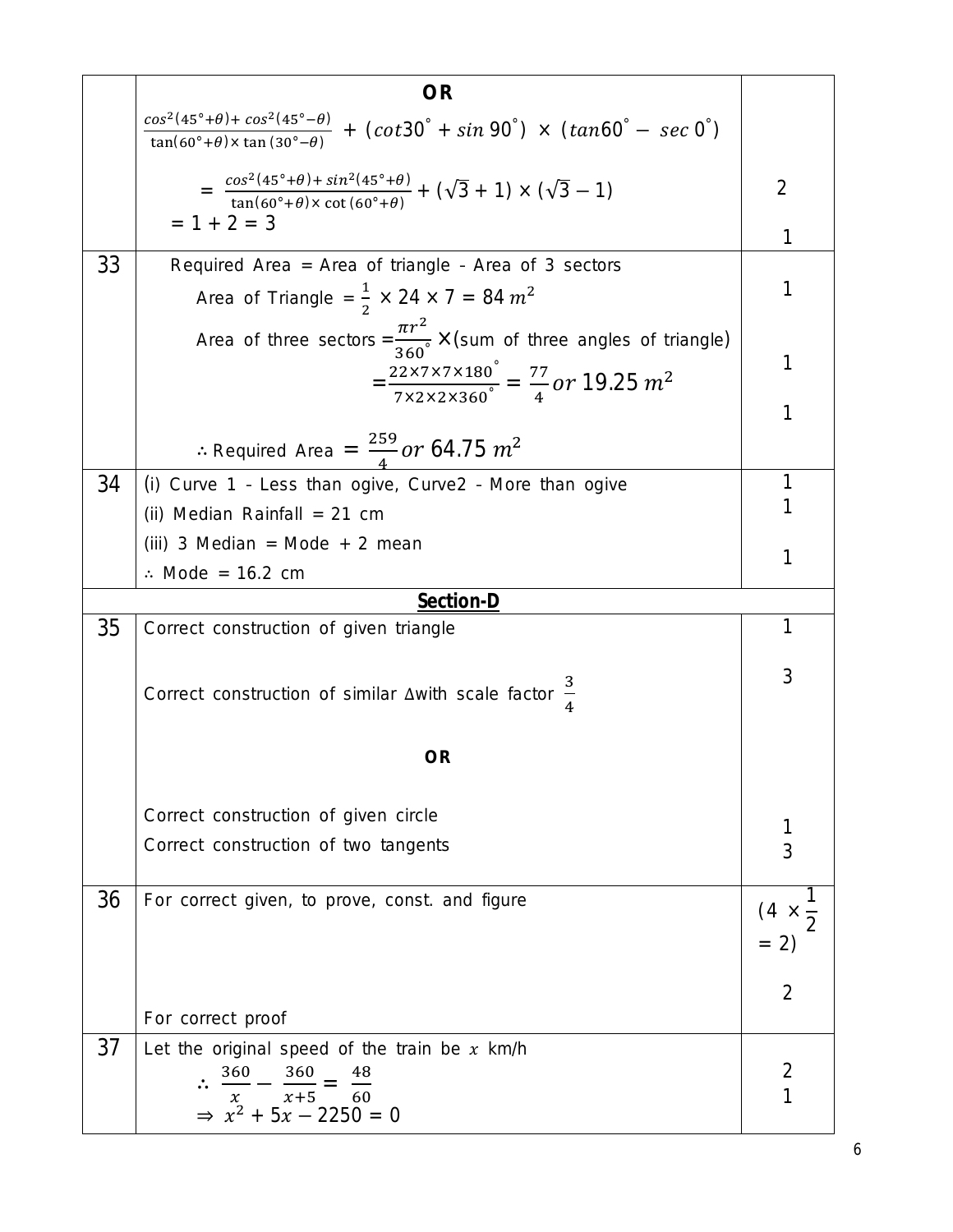|    | <b>OR</b>                                                                                                                                                                          |                          |  |  |  |  |
|----|------------------------------------------------------------------------------------------------------------------------------------------------------------------------------------|--------------------------|--|--|--|--|
|    | $\frac{\cos^2(45^\circ+\theta)+\cos^2(45^\circ-\theta)}{\tan(60^\circ+\theta)\times\tan(30^\circ-\theta)} + (\cot 30^\circ + \sin 90^\circ) \times (\tan 60^\circ - \sec 0^\circ)$ |                          |  |  |  |  |
|    | $= \frac{\cos^2(45^\circ + \theta) + \sin^2(45^\circ + \theta)}{\tan(60^\circ + \theta) \times \cot(60^\circ + \theta)} + (\sqrt{3} + 1) \times (\sqrt{3} - 1)$                    | $\overline{2}$           |  |  |  |  |
|    | $= 1 + 2 = 3$                                                                                                                                                                      | 1                        |  |  |  |  |
| 33 | Required Area = Area of triangle - Area of 3 sectors                                                                                                                               |                          |  |  |  |  |
|    | Area of Triangle = $\frac{1}{2} \times 24 \times 7 = 84 m^2$                                                                                                                       | 1                        |  |  |  |  |
|    | Area of three sectors = $\frac{\pi r^2}{360}$ × (sum of three angles of triangle)                                                                                                  |                          |  |  |  |  |
|    | $=\frac{22\times7\times7\times180^{\circ}}{7\times2\times2\times360^{\circ}} = \frac{77}{4}$ or 19.25 m <sup>2</sup>                                                               |                          |  |  |  |  |
|    |                                                                                                                                                                                    |                          |  |  |  |  |
|    | : Required Area = $\frac{259}{4}$ or 64.75 $m^2$                                                                                                                                   |                          |  |  |  |  |
| 34 | (i) Curve 1 - Less than ogive, Curve2 - More than ogive                                                                                                                            | 1                        |  |  |  |  |
|    | (ii) Median Rainfall = 21 cm                                                                                                                                                       |                          |  |  |  |  |
|    | (iii) 3 Median = Mode + 2 mean                                                                                                                                                     |                          |  |  |  |  |
|    | $\therefore$ Mode = 16.2 cm                                                                                                                                                        | 1                        |  |  |  |  |
|    | <b>Section-D</b>                                                                                                                                                                   |                          |  |  |  |  |
| 35 | Correct construction of given triangle                                                                                                                                             |                          |  |  |  |  |
|    | Correct construction of similar $\Delta$ with scale factor $\frac{3}{4}$                                                                                                           | 3                        |  |  |  |  |
|    | <b>OR</b>                                                                                                                                                                          |                          |  |  |  |  |
|    | Correct construction of given circle                                                                                                                                               |                          |  |  |  |  |
|    | Correct construction of two tangents                                                                                                                                               | 3                        |  |  |  |  |
|    |                                                                                                                                                                                    |                          |  |  |  |  |
| 36 | For correct given, to prove, const. and figure                                                                                                                                     | $(4 \times \frac{1}{2})$ |  |  |  |  |
|    |                                                                                                                                                                                    | $= 2)$                   |  |  |  |  |
|    |                                                                                                                                                                                    |                          |  |  |  |  |
|    | For correct proof                                                                                                                                                                  | 2                        |  |  |  |  |
| 37 | Let the original speed of the train be $x$ km/h                                                                                                                                    |                          |  |  |  |  |
|    | 360<br>360<br>48                                                                                                                                                                   | 2                        |  |  |  |  |
|    | $x+5$ 60<br>$x$ $x+5$ 60<br>⇒ $x^2 + 5x - 2250 = 0$                                                                                                                                |                          |  |  |  |  |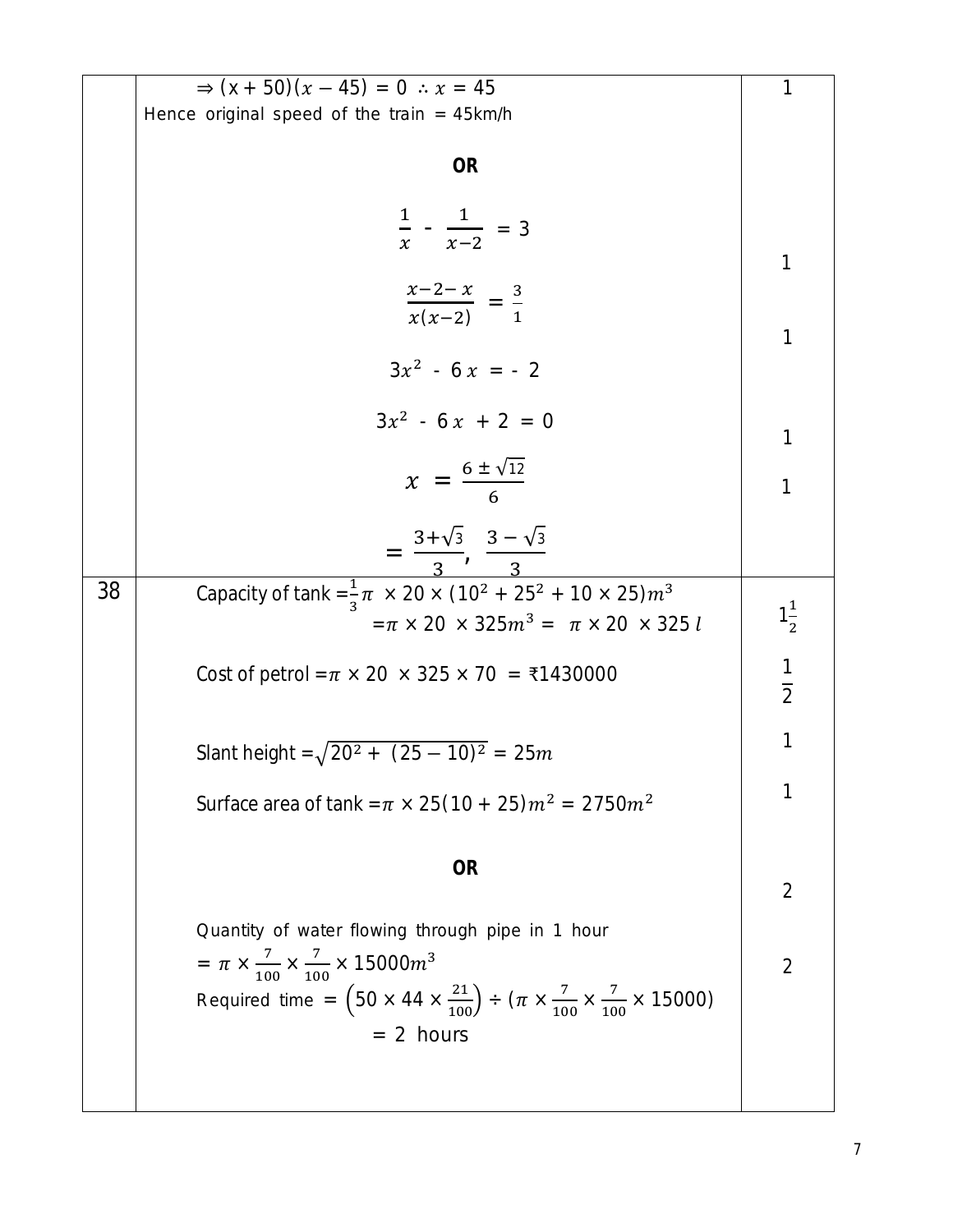|    | $\Rightarrow$ $(x + 50)(x - 45) = 0 \therefore x = 45$                                                                   | 1              |
|----|--------------------------------------------------------------------------------------------------------------------------|----------------|
|    | Hence original speed of the train = $45km/h$                                                                             |                |
|    |                                                                                                                          |                |
|    | <b>OR</b>                                                                                                                |                |
|    |                                                                                                                          |                |
|    |                                                                                                                          |                |
|    | $\frac{1}{x} - \frac{1}{x-2} = 3$                                                                                        |                |
|    |                                                                                                                          | 1              |
|    | $\frac{x-2-x}{x(x-2)} = \frac{3}{1}$                                                                                     |                |
|    |                                                                                                                          |                |
|    |                                                                                                                          | 1              |
|    | $3x^2 - 6x = -2$                                                                                                         |                |
|    |                                                                                                                          |                |
|    | $3x^2 - 6x + 2 = 0$                                                                                                      | 1              |
|    |                                                                                                                          |                |
|    | $x = \frac{6 \pm \sqrt{12}}{6}$                                                                                          | 1              |
|    |                                                                                                                          |                |
|    | $=\frac{3+\sqrt{3}}{3}, \frac{3-\sqrt{3}}{3}$                                                                            |                |
|    |                                                                                                                          |                |
| 38 | Capacity of tank = $\frac{1}{3}\pi \times 20 \times (10^2 + 25^2 + 10 \times 25)m^3$                                     |                |
|    | $=\pi \times 20 \times 325 m^3 = \pi \times 20 \times 325 l$                                                             | $1\frac{1}{2}$ |
|    |                                                                                                                          |                |
|    | Cost of petrol = $\pi$ × 20 × 325 × 70 = ₹1430000                                                                        | $\frac{1}{2}$  |
|    |                                                                                                                          |                |
|    |                                                                                                                          | 1              |
|    | Slant height = $\sqrt{20^2 + (25 - 10)^2} = 25m$                                                                         |                |
|    |                                                                                                                          | 1              |
|    | Surface area of tank = $\pi \times 25(10 + 25) m^2 = 2750 m^2$                                                           |                |
|    |                                                                                                                          |                |
|    | <b>OR</b>                                                                                                                |                |
|    |                                                                                                                          | $\overline{2}$ |
|    | Quantity of water flowing through pipe in 1 hour                                                                         |                |
|    |                                                                                                                          |                |
|    | = $\pi \times \frac{7}{100} \times \frac{7}{100} \times 15000 m^3$                                                       | $\overline{2}$ |
|    | Required time = $(50 \times 44 \times \frac{21}{100}) \div (\pi \times \frac{7}{100} \times \frac{7}{100} \times 15000)$ |                |
|    | $= 2$ hours                                                                                                              |                |
|    |                                                                                                                          |                |
|    |                                                                                                                          |                |
|    |                                                                                                                          |                |